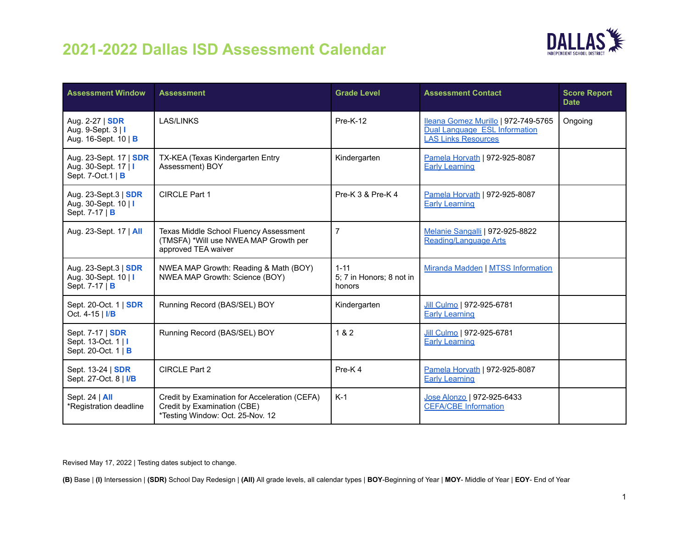

| <b>Assessment Window</b>                                                     | <b>Assessment</b>                                                                                                | <b>Grade Level</b>                             | <b>Assessment Contact</b>                                                                          | <b>Score Report</b><br><b>Date</b> |
|------------------------------------------------------------------------------|------------------------------------------------------------------------------------------------------------------|------------------------------------------------|----------------------------------------------------------------------------------------------------|------------------------------------|
| Aug. 2-27   <b>SDR</b><br>Aug. 9-Sept. 3   I<br>Aug. 16-Sept. 10   B         | <b>LAS/LINKS</b>                                                                                                 | $Pre-K-12$                                     | Ileana Gomez Murillo   972-749-5765<br>Dual Language ESL Information<br><b>LAS Links Resources</b> | Ongoing                            |
| Aug. 23-Sept. 17   SDR<br>Aug. 30-Sept. 17   I<br>Sept. 7-Oct.1   B          | TX-KEA (Texas Kindergarten Entry<br>Assessment) BOY                                                              | Kindergarten                                   | Pamela Horvath   972-925-8087<br><b>Early Learning</b>                                             |                                    |
| Aug. 23-Sept.3   <b>SDR</b><br>Aug. 30-Sept. 10   I<br>Sept. 7-17   <b>B</b> | <b>CIRCLE Part 1</b>                                                                                             | Pre-K 3 & Pre-K 4                              | Pamela Horvath   972-925-8087<br><b>Early Learning</b>                                             |                                    |
| Aug. 23-Sept. 17   All                                                       | Texas Middle School Fluency Assessment<br>(TMSFA) *Will use NWEA MAP Growth per<br>approved TEA waiver           | $\overline{7}$                                 | Melanie Sangalli   972-925-8822<br><b>Reading/Language Arts</b>                                    |                                    |
| Aug. 23-Sept.3   SDR<br>Aug. 30-Sept. 10   I<br>Sept. 7-17   <b>B</b>        | NWEA MAP Growth: Reading & Math (BOY)<br>NWEA MAP Growth: Science (BOY)                                          | $1 - 11$<br>5; 7 in Honors; 8 not in<br>honors | Miranda Madden   MTSS Information                                                                  |                                    |
| Sept. 20-Oct. 1   <b>SDR</b><br>Oct. 4-15   I/B                              | Running Record (BAS/SEL) BOY                                                                                     | Kindergarten                                   | Jill Culmo   972-925-6781<br><b>Early Learning</b>                                                 |                                    |
| Sept. 7-17   <b>SDR</b><br>Sept. 13-Oct. 1   I<br>Sept. 20-Oct. 1   <b>B</b> | Running Record (BAS/SEL) BOY                                                                                     | 1 & 2                                          | Jill Culmo   972-925-6781<br><b>Early Learning</b>                                                 |                                    |
| Sept. 13-24   <b>SDR</b><br>Sept. 27-Oct. 8   I/B                            | <b>CIRCLE Part 2</b>                                                                                             | Pre-K4                                         | Pamela Horvath   972-925-8087<br><b>Early Learning</b>                                             |                                    |
| Sept. $24$   All<br>*Registration deadline                                   | Credit by Examination for Acceleration (CEFA)<br>Credit by Examination (CBE)<br>*Testing Window: Oct. 25-Nov. 12 | $K-1$                                          | Jose Alonzo   972-925-6433<br><b>CEFA/CBE Information</b>                                          |                                    |

Revised May 17, 2022 | Testing dates subject to change.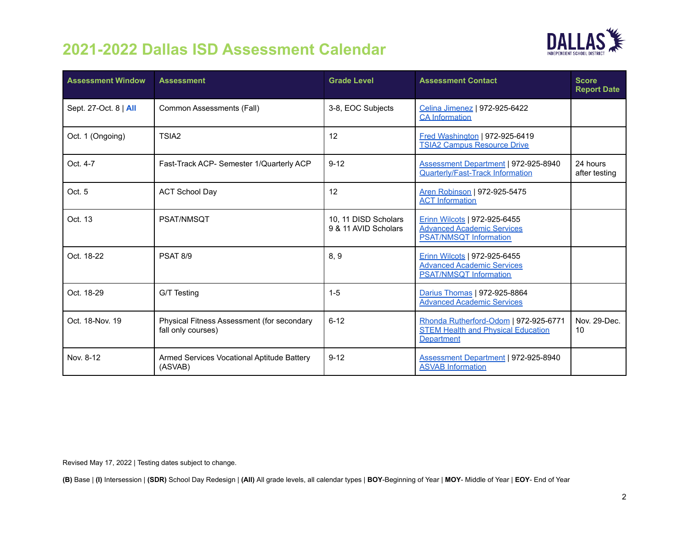

| <b>Assessment Window</b> | <b>Assessment</b>                                                | <b>Grade Level</b>                           | <b>Assessment Contact</b>                                                                                 | <b>Score</b><br><b>Report Date</b> |
|--------------------------|------------------------------------------------------------------|----------------------------------------------|-----------------------------------------------------------------------------------------------------------|------------------------------------|
| Sept. 27-Oct. 8   All    | Common Assessments (Fall)                                        | 3-8, EOC Subjects                            | Celina Jimenez   972-925-6422<br><b>CA Information</b>                                                    |                                    |
| Oct. 1 (Ongoing)         | TSIA <sub>2</sub>                                                | 12                                           | Fred Washington   972-925-6419<br><b>TSIA2 Campus Resource Drive</b>                                      |                                    |
| Oct. 4-7                 | Fast-Track ACP- Semester 1/Quarterly ACP                         | $9 - 12$                                     | Assessment Department   972-925-8940<br><b>Quarterly/Fast-Track Information</b>                           | 24 hours<br>after testing          |
| Oct. 5                   | <b>ACT School Day</b>                                            | 12                                           | Aren Robinson   972-925-5475<br><b>ACT Information</b>                                                    |                                    |
| Oct. 13                  | PSAT/NMSQT                                                       | 10, 11 DISD Scholars<br>9 & 11 AVID Scholars | <b>Erinn Wilcots   972-925-6455</b><br><b>Advanced Academic Services</b><br><b>PSAT/NMSQT Information</b> |                                    |
| Oct. 18-22               | <b>PSAT 8/9</b>                                                  | 8, 9                                         | Erinn Wilcots   972-925-6455<br><b>Advanced Academic Services</b><br><b>PSAT/NMSQT Information</b>        |                                    |
| Oct. 18-29               | G/T Testing                                                      | $1 - 5$                                      | Darius Thomas   972-925-8864<br><b>Advanced Academic Services</b>                                         |                                    |
| Oct. 18-Nov. 19          | Physical Fitness Assessment (for secondary<br>fall only courses) | $6 - 12$                                     | Rhonda Rutherford-Odom   972-925-6771<br><b>STEM Health and Physical Education</b><br><b>Department</b>   | Nov. 29-Dec.<br>10                 |
| Nov. 8-12                | Armed Services Vocational Aptitude Battery<br>(ASVAB)            | $9 - 12$                                     | <b>Assessment Department   972-925-8940</b><br><b>ASVAB Information</b>                                   |                                    |

Revised May 17, 2022 | Testing dates subject to change.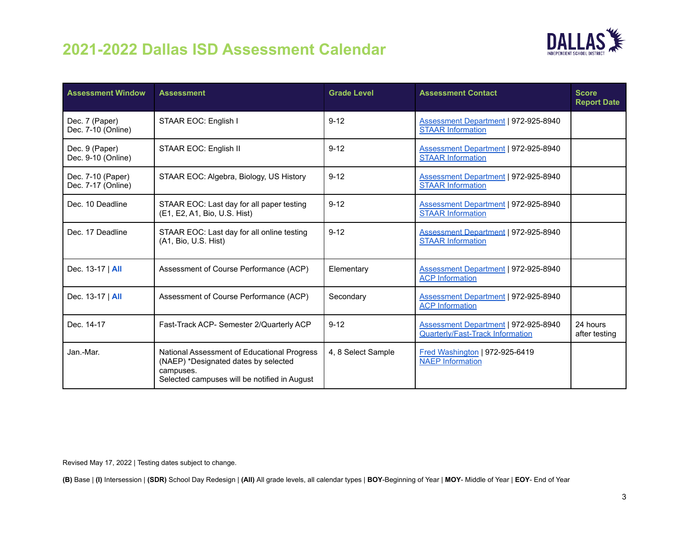

| <b>Assessment Window</b>                | <b>Assessment</b>                                                                                                                                | <b>Grade Level</b> | <b>Assessment Contact</b>                                                       | <b>Score</b><br><b>Report Date</b> |
|-----------------------------------------|--------------------------------------------------------------------------------------------------------------------------------------------------|--------------------|---------------------------------------------------------------------------------|------------------------------------|
| Dec. 7 (Paper)<br>Dec. 7-10 (Online)    | STAAR EOC: English I                                                                                                                             | $9 - 12$           | Assessment Department   972-925-8940<br><b>STAAR Information</b>                |                                    |
| Dec. 9 (Paper)<br>Dec. 9-10 (Online)    | STAAR EOC: English II                                                                                                                            | $9 - 12$           | Assessment Department   972-925-8940<br><b>STAAR Information</b>                |                                    |
| Dec. 7-10 (Paper)<br>Dec. 7-17 (Online) | STAAR EOC: Algebra, Biology, US History                                                                                                          | $9 - 12$           | Assessment Department   972-925-8940<br><b>STAAR Information</b>                |                                    |
| Dec. 10 Deadline                        | STAAR EOC: Last day for all paper testing<br>(E1, E2, A1, Bio, U.S. Hist)                                                                        | $9 - 12$           | Assessment Department   972-925-8940<br><b>STAAR Information</b>                |                                    |
| Dec. 17 Deadline                        | STAAR EOC: Last day for all online testing<br>(A1, Bio, U.S. Hist)                                                                               | $9 - 12$           | Assessment Department   972-925-8940<br><b>STAAR Information</b>                |                                    |
| Dec. 13-17   All                        | Assessment of Course Performance (ACP)                                                                                                           | Elementary         | <b>Assessment Department   972-925-8940</b><br><b>ACP Information</b>           |                                    |
| Dec. 13-17   All                        | Assessment of Course Performance (ACP)                                                                                                           | Secondary          | Assessment Department   972-925-8940<br><b>ACP Information</b>                  |                                    |
| Dec. 14-17                              | Fast-Track ACP- Semester 2/Quarterly ACP                                                                                                         | $9 - 12$           | Assessment Department   972-925-8940<br><b>Quarterly/Fast-Track Information</b> | 24 hours<br>after testing          |
| Jan.-Mar.                               | National Assessment of Educational Progress<br>(NAEP) *Designated dates by selected<br>campuses.<br>Selected campuses will be notified in August | 4, 8 Select Sample | Fred Washington   972-925-6419<br><b>NAEP Information</b>                       |                                    |

Revised May 17, 2022 | Testing dates subject to change.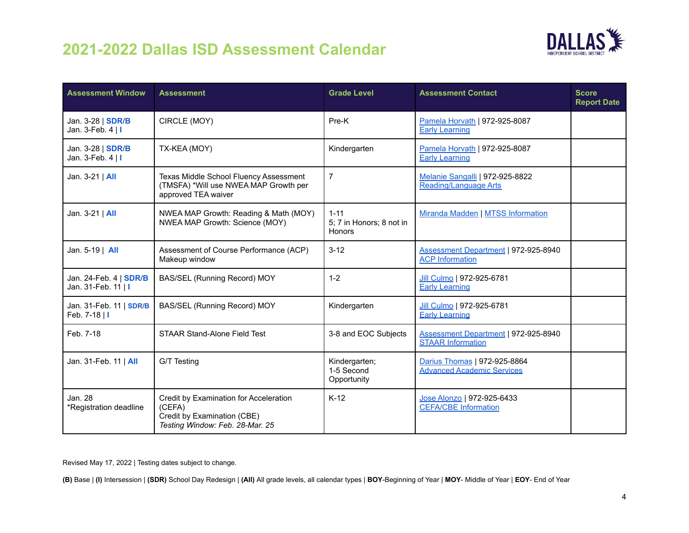

| <b>Assessment Window</b>                      | <b>Assessment</b>                                                                                                  | <b>Grade Level</b>                                    | <b>Assessment Contact</b>                                             | <b>Score</b><br><b>Report Date</b> |
|-----------------------------------------------|--------------------------------------------------------------------------------------------------------------------|-------------------------------------------------------|-----------------------------------------------------------------------|------------------------------------|
| Jan. 3-28   <b>SDR/B</b><br>Jan. 3-Feb. 4   I | CIRCLE (MOY)                                                                                                       | Pre-K                                                 | Pamela Horvath   972-925-8087<br><b>Early Learning</b>                |                                    |
| Jan. 3-28   <b>SDR/B</b><br>Jan. 3-Feb. 4   I | TX-KEA (MOY)                                                                                                       | Kindergarten                                          | Pamela Horvath   972-925-8087<br><b>Early Learning</b>                |                                    |
| Jan. 3-21   All                               | Texas Middle School Fluency Assessment<br>(TMSFA) *Will use NWEA MAP Growth per<br>approved TEA waiver             | $\overline{7}$                                        | Melanie Sangalli   972-925-8822<br><b>Reading/Language Arts</b>       |                                    |
| Jan. $3-21$   All                             | NWEA MAP Growth: Reading & Math (MOY)<br>NWEA MAP Growth: Science (MOY)                                            | $1 - 11$<br>5; 7 in Honors; 8 not in<br><b>Honors</b> | Miranda Madden   MTSS Information                                     |                                    |
| Jan. 5-19   All                               | Assessment of Course Performance (ACP)<br>Makeup window                                                            | $3 - 12$                                              | <b>Assessment Department   972-925-8940</b><br><b>ACP</b> Information |                                    |
| Jan. 24-Feb. 4   SDR/B<br>Jan. 31-Feb. 11   I | BAS/SEL (Running Record) MOY                                                                                       | $1 - 2$                                               | Jill Culmo   972-925-6781<br><b>Early Learning</b>                    |                                    |
| Jan. 31-Feb. 11   SDR/B<br>Feb. 7-18   I      | BAS/SEL (Running Record) MOY                                                                                       | Kindergarten                                          | Jill Culmo   972-925-6781<br><b>Early Learning</b>                    |                                    |
| Feb. 7-18                                     | <b>STAAR Stand-Alone Field Test</b>                                                                                | 3-8 and EOC Subjects                                  | Assessment Department   972-925-8940<br><b>STAAR Information</b>      |                                    |
| Jan. 31-Feb. 11   All                         | G/T Testing                                                                                                        | Kindergarten;<br>1-5 Second<br>Opportunity            | Darius Thomas   972-925-8864<br><b>Advanced Academic Services</b>     |                                    |
| Jan. 28<br>*Registration deadline             | Credit by Examination for Acceleration<br>(CEFA)<br>Credit by Examination (CBE)<br>Testing Window: Feb. 28-Mar. 25 | $K-12$                                                | Jose Alonzo   972-925-6433<br><b>CEFA/CBE Information</b>             |                                    |

Revised May 17, 2022 | Testing dates subject to change.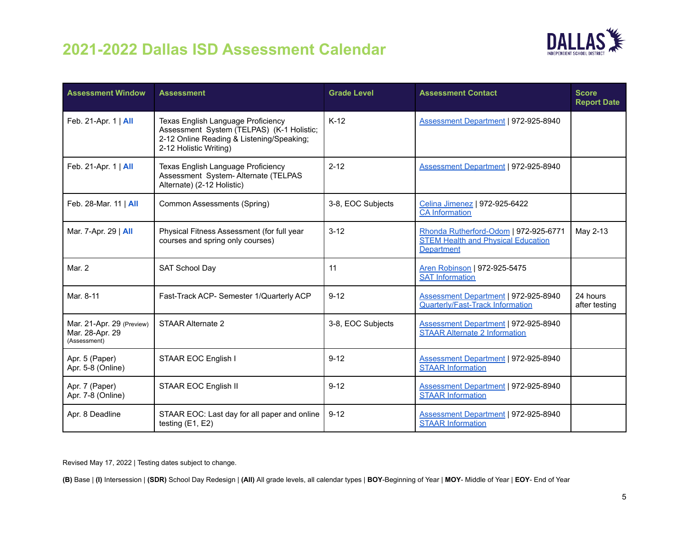

| <b>Assessment Window</b>                                     | <b>Assessment</b>                                                                                                                                      | <b>Grade Level</b> | <b>Assessment Contact</b>                                                                               | <b>Score</b><br><b>Report Date</b> |
|--------------------------------------------------------------|--------------------------------------------------------------------------------------------------------------------------------------------------------|--------------------|---------------------------------------------------------------------------------------------------------|------------------------------------|
| Feb. 21-Apr. 1   All                                         | Texas English Language Proficiency<br>Assessment System (TELPAS) (K-1 Holistic;<br>2-12 Online Reading & Listening/Speaking;<br>2-12 Holistic Writing) | $K-12$             | Assessment Department   972-925-8940                                                                    |                                    |
| Feb. 21-Apr. 1   All                                         | Texas English Language Proficiency<br>Assessment System-Alternate (TELPAS<br>Alternate) (2-12 Holistic)                                                | $2 - 12$           | Assessment Department   972-925-8940                                                                    |                                    |
| Feb. 28-Mar. 11   All                                        | Common Assessments (Spring)                                                                                                                            | 3-8, EOC Subjects  | Celina Jimenez   972-925-6422<br><b>CA Information</b>                                                  |                                    |
| Mar. 7-Apr. 29   All                                         | Physical Fitness Assessment (for full year<br>courses and spring only courses)                                                                         | $3 - 12$           | Rhonda Rutherford-Odom   972-925-6771<br><b>STEM Health and Physical Education</b><br><b>Department</b> | May 2-13                           |
| Mar. 2                                                       | <b>SAT School Day</b>                                                                                                                                  | 11                 | Aren Robinson   972-925-5475<br><b>SAT Information</b>                                                  |                                    |
| Mar. 8-11                                                    | Fast-Track ACP- Semester 1/Quarterly ACP                                                                                                               | $9 - 12$           | <b>Assessment Department   972-925-8940</b><br><b>Quarterly/Fast-Track Information</b>                  | 24 hours<br>after testing          |
| Mar. 21-Apr. 29 (Preview)<br>Mar. 28-Apr. 29<br>(Assessment) | <b>STAAR Alternate 2</b>                                                                                                                               | 3-8, EOC Subjects  | <b>Assessment Department   972-925-8940</b><br><b>STAAR Alternate 2 Information</b>                     |                                    |
| Apr. 5 (Paper)<br>Apr. 5-8 (Online)                          | STAAR EOC English I                                                                                                                                    | $9 - 12$           | Assessment Department   972-925-8940<br><b>STAAR Information</b>                                        |                                    |
| Apr. 7 (Paper)<br>Apr. 7-8 (Online)                          | STAAR EOC English II                                                                                                                                   | $9 - 12$           | Assessment Department   972-925-8940<br><b>STAAR Information</b>                                        |                                    |
| Apr. 8 Deadline                                              | STAAR EOC: Last day for all paper and online<br>testing $(E1, E2)$                                                                                     | $9 - 12$           | <b>Assessment Department   972-925-8940</b><br><b>STAAR Information</b>                                 |                                    |

Revised May 17, 2022 | Testing dates subject to change.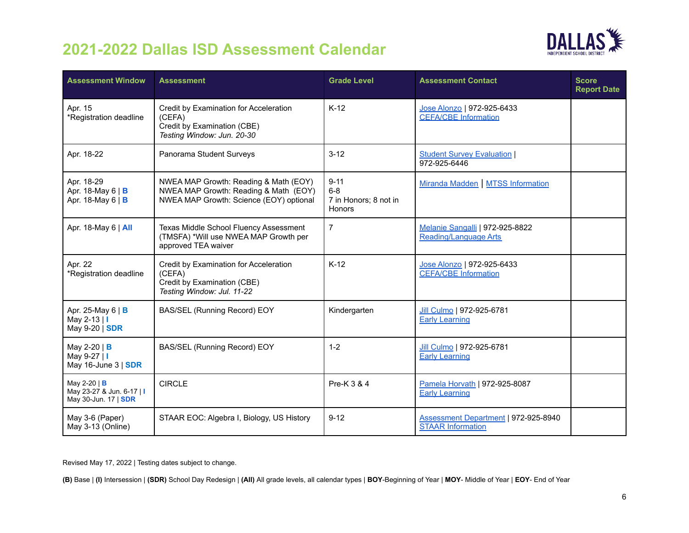

| <b>Assessment Window</b>                                                 | <b>Assessment</b>                                                                                                         | <b>Grade Level</b>                                   | <b>Assessment Contact</b>                                               | <b>Score</b><br><b>Report Date</b> |
|--------------------------------------------------------------------------|---------------------------------------------------------------------------------------------------------------------------|------------------------------------------------------|-------------------------------------------------------------------------|------------------------------------|
| Apr. 15<br>*Registration deadline                                        | Credit by Examination for Acceleration<br>(CEFA)<br>Credit by Examination (CBE)<br>Testing Window: Jun. 20-30             | $K-12$                                               | Jose Alonzo   972-925-6433<br><b>CEFA/CBE Information</b>               |                                    |
| Apr. 18-22                                                               | Panorama Student Surveys                                                                                                  | $3 - 12$                                             | <b>Student Survey Evaluation</b><br>972-925-6446                        |                                    |
| Apr. 18-29<br>Apr. 18-May 6   B<br>Apr. 18-May 6   B                     | NWEA MAP Growth: Reading & Math (EOY)<br>NWEA MAP Growth: Reading & Math (EOY)<br>NWEA MAP Growth: Science (EOY) optional | $9 - 11$<br>$6-8$<br>7 in Honors; 8 not in<br>Honors | Miranda Madden   MTSS Information                                       |                                    |
| Apr. 18-May 6   All                                                      | Texas Middle School Fluency Assessment<br>(TMSFA) *Will use NWEA MAP Growth per<br>approved TEA waiver                    | $\overline{7}$                                       | Melanie Sangalli   972-925-8822<br><b>Reading/Language Arts</b>         |                                    |
| Apr. 22<br>*Registration deadline                                        | Credit by Examination for Acceleration<br>(CEFA)<br>Credit by Examination (CBE)<br>Testing Window: Jul. 11-22             | $K-12$                                               | Jose Alonzo   972-925-6433<br><b>CEFA/CBE</b> Information               |                                    |
| Apr. 25-May $6 \mid B$<br>May 2-13   I<br>May 9-20   <b>SDR</b>          | BAS/SEL (Running Record) EOY                                                                                              | Kindergarten                                         | Jill Culmo   972-925-6781<br><b>Early Learning</b>                      |                                    |
| May 2-20   $\bf{B}$<br>May 9-27   I<br>May 16-June $3  $ SDR             | BAS/SEL (Running Record) EOY                                                                                              | $1 - 2$                                              | Jill Culmo   972-925-6781<br><b>Early Learning</b>                      |                                    |
| May 2-20   <b>B</b><br>May 23-27 & Jun. 6-17   I<br>May 30-Jun. 17   SDR | <b>CIRCLE</b>                                                                                                             | Pre-K 3 & 4                                          | Pamela Horvath   972-925-8087<br><b>Early Learning</b>                  |                                    |
| May 3-6 (Paper)<br>May 3-13 (Online)                                     | STAAR EOC: Algebra I, Biology, US History                                                                                 | $9 - 12$                                             | <b>Assessment Department   972-925-8940</b><br><b>STAAR Information</b> |                                    |

Revised May 17, 2022 | Testing dates subject to change.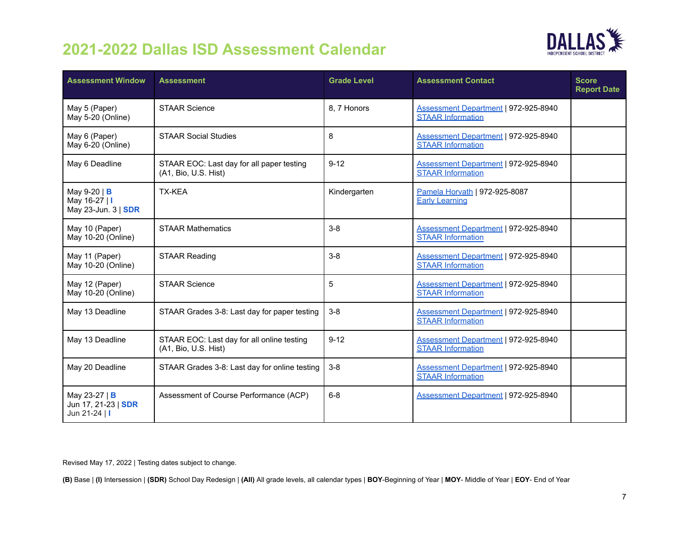

| <b>Assessment Window</b>                                            | <b>Assessment</b>                                                  | <b>Grade Level</b> | <b>Assessment Contact</b>                                               | <b>Score</b><br><b>Report Date</b> |
|---------------------------------------------------------------------|--------------------------------------------------------------------|--------------------|-------------------------------------------------------------------------|------------------------------------|
| May 5 (Paper)<br>May 5-20 (Online)                                  | <b>STAAR Science</b>                                               | 8, 7 Honors        | Assessment Department   972-925-8940<br><b>STAAR Information</b>        |                                    |
| May 6 (Paper)<br>May 6-20 (Online)                                  | <b>STAAR Social Studies</b>                                        | 8                  | <b>Assessment Department   972-925-8940</b><br><b>STAAR Information</b> |                                    |
| May 6 Deadline                                                      | STAAR EOC: Last day for all paper testing<br>(A1, Bio, U.S. Hist)  | $9 - 12$           | Assessment Department   972-925-8940<br><b>STAAR Information</b>        |                                    |
| May 9-20   <b>B</b><br>May 16-27   I<br>May 23-Jun. 3   SDR         | <b>TX-KEA</b>                                                      | Kindergarten       | Pamela Horvath   972-925-8087<br><b>Early Learning</b>                  |                                    |
| May 10 (Paper)<br>May 10-20 (Online)                                | <b>STAAR Mathematics</b>                                           | $3-8$              | <b>Assessment Department   972-925-8940</b><br><b>STAAR Information</b> |                                    |
| May 11 (Paper)<br>May 10-20 (Online)                                | <b>STAAR Reading</b>                                               | $3-8$              | Assessment Department   972-925-8940<br><b>STAAR Information</b>        |                                    |
| May 12 (Paper)<br>May 10-20 (Online)                                | <b>STAAR Science</b>                                               | 5                  | Assessment Department   972-925-8940<br><b>STAAR Information</b>        |                                    |
| May 13 Deadline                                                     | STAAR Grades 3-8: Last day for paper testing                       | $3-8$              | <b>Assessment Department   972-925-8940</b><br><b>STAAR Information</b> |                                    |
| May 13 Deadline                                                     | STAAR EOC: Last day for all online testing<br>(A1, Bio, U.S. Hist) | $9 - 12$           | Assessment Department   972-925-8940<br><b>STAAR Information</b>        |                                    |
| May 20 Deadline                                                     | STAAR Grades 3-8: Last day for online testing                      | $3-8$              | Assessment Department   972-925-8940<br><b>STAAR Information</b>        |                                    |
| May 23-27   <b>B</b><br>Jun 17, 21-23   <b>SDR</b><br>Jun 21-24   I | Assessment of Course Performance (ACP)                             | $6 - 8$            | <b>Assessment Department   972-925-8940</b>                             |                                    |

Revised May 17, 2022 | Testing dates subject to change.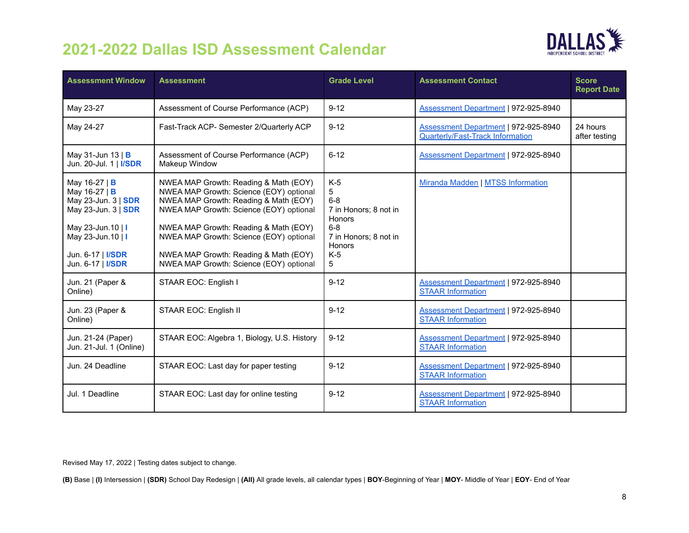

| <b>Assessment Window</b>                                                                                                                                                                     | <b>Assessment</b>                                                                                                                                                                                                                                                                                                                            | <b>Grade Level</b>                                                                                                          | <b>Assessment Contact</b>                                                              | <b>Score</b><br><b>Report Date</b> |
|----------------------------------------------------------------------------------------------------------------------------------------------------------------------------------------------|----------------------------------------------------------------------------------------------------------------------------------------------------------------------------------------------------------------------------------------------------------------------------------------------------------------------------------------------|-----------------------------------------------------------------------------------------------------------------------------|----------------------------------------------------------------------------------------|------------------------------------|
| May 23-27                                                                                                                                                                                    | Assessment of Course Performance (ACP)                                                                                                                                                                                                                                                                                                       | $9 - 12$                                                                                                                    | Assessment Department   972-925-8940                                                   |                                    |
| May 24-27                                                                                                                                                                                    | Fast-Track ACP- Semester 2/Quarterly ACP                                                                                                                                                                                                                                                                                                     | $9 - 12$                                                                                                                    | <b>Assessment Department   972-925-8940</b><br><b>Quarterly/Fast-Track Information</b> | 24 hours<br>after testing          |
| May 31-Jun 13   B<br>Jun. 20-Jul. 1   <b>I/SDR</b>                                                                                                                                           | Assessment of Course Performance (ACP)<br>Makeup Window                                                                                                                                                                                                                                                                                      | $6 - 12$                                                                                                                    | Assessment Department   972-925-8940                                                   |                                    |
| May 16-27   <b>B</b><br>May 16-27   <b>B</b><br>May 23-Jun. 3   <b>SDR</b><br>May 23-Jun. 3   SDR<br>May 23-Jun.10   I<br>May 23-Jun.10   I<br>Jun. 6-17   I/SDR<br>Jun. 6-17   <b>I/SDR</b> | NWEA MAP Growth: Reading & Math (EOY)<br>NWEA MAP Growth: Science (EOY) optional<br>NWEA MAP Growth: Reading & Math (EOY)<br>NWEA MAP Growth: Science (EOY) optional<br>NWEA MAP Growth: Reading & Math (EOY)<br>NWEA MAP Growth: Science (EOY) optional<br>NWEA MAP Growth: Reading & Math (EOY)<br>NWEA MAP Growth: Science (EOY) optional | $K-5$<br>5<br>$6 - 8$<br>7 in Honors; 8 not in<br>Honors<br>$6 - 8$<br>7 in Honors; 8 not in<br><b>Honors</b><br>$K-5$<br>5 | Miranda Madden   MTSS Information                                                      |                                    |
| Jun. 21 (Paper &<br>Online)                                                                                                                                                                  | STAAR EOC: English I                                                                                                                                                                                                                                                                                                                         | $9 - 12$                                                                                                                    | <b>Assessment Department   972-925-8940</b><br><b>STAAR Information</b>                |                                    |
| Jun. 23 (Paper &<br>Online)                                                                                                                                                                  | STAAR EOC: English II                                                                                                                                                                                                                                                                                                                        | $9 - 12$                                                                                                                    | Assessment Department   972-925-8940<br><b>STAAR Information</b>                       |                                    |
| Jun. 21-24 (Paper)<br>Jun. 21-Jul. 1 (Online)                                                                                                                                                | STAAR EOC: Algebra 1, Biology, U.S. History                                                                                                                                                                                                                                                                                                  | $9 - 12$                                                                                                                    | <b>Assessment Department   972-925-8940</b><br><b>STAAR Information</b>                |                                    |
| Jun. 24 Deadline                                                                                                                                                                             | STAAR EOC: Last day for paper testing                                                                                                                                                                                                                                                                                                        | $9 - 12$                                                                                                                    | <b>Assessment Department   972-925-8940</b><br><b>STAAR Information</b>                |                                    |
| Jul. 1 Deadline                                                                                                                                                                              | STAAR EOC: Last day for online testing                                                                                                                                                                                                                                                                                                       | $9 - 12$                                                                                                                    | <b>Assessment Department   972-925-8940</b><br><b>STAAR Information</b>                |                                    |

Revised May 17, 2022 | Testing dates subject to change.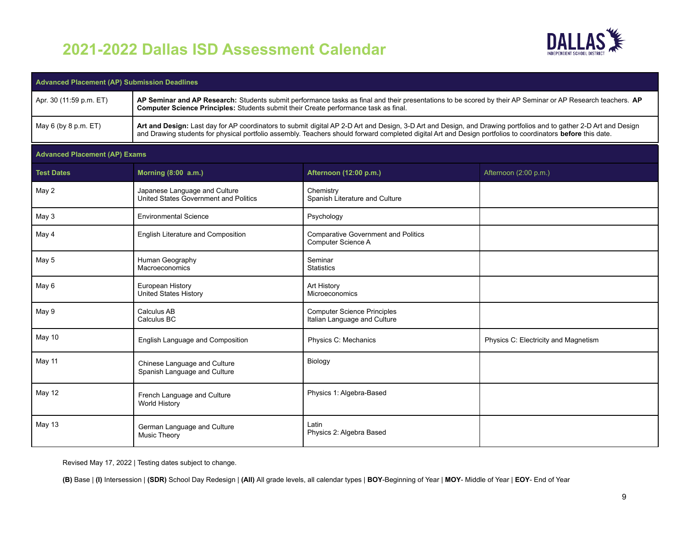

|                                      | <b>Advanced Placement (AP) Submission Deadlines</b>                                  |                                                                                                                                                                                                                                                                                                                                  |                                      |  |
|--------------------------------------|--------------------------------------------------------------------------------------|----------------------------------------------------------------------------------------------------------------------------------------------------------------------------------------------------------------------------------------------------------------------------------------------------------------------------------|--------------------------------------|--|
| Apr. 30 (11:59 p.m. ET)              | Computer Science Principles: Students submit their Create performance task as final. | AP Seminar and AP Research: Students submit performance tasks as final and their presentations to be scored by their AP Seminar or AP Research teachers. AP                                                                                                                                                                      |                                      |  |
| May 6 (by 8 p.m. ET)                 |                                                                                      | Art and Design: Last day for AP coordinators to submit digital AP 2-D Art and Design, 3-D Art and Design, and Drawing portfolios and to gather 2-D Art and Design<br>and Drawing students for physical portfolio assembly. Teachers should forward completed digital Art and Design portfolios to coordinators before this date. |                                      |  |
| <b>Advanced Placement (AP) Exams</b> |                                                                                      |                                                                                                                                                                                                                                                                                                                                  |                                      |  |
| <b>Test Dates</b>                    | Morning (8:00 a.m.)                                                                  | Afternoon (12:00 p.m.)                                                                                                                                                                                                                                                                                                           | Afternoon (2:00 p.m.)                |  |
| May 2                                | Japanese Language and Culture<br>United States Government and Politics               | Chemistry<br>Spanish Literature and Culture                                                                                                                                                                                                                                                                                      |                                      |  |
| May 3                                | <b>Environmental Science</b>                                                         | Psychology                                                                                                                                                                                                                                                                                                                       |                                      |  |
| May 4                                | English Literature and Composition                                                   | <b>Comparative Government and Politics</b><br>Computer Science A                                                                                                                                                                                                                                                                 |                                      |  |
| May 5                                | Human Geography<br>Macroeconomics                                                    | Seminar<br><b>Statistics</b>                                                                                                                                                                                                                                                                                                     |                                      |  |
| May 6                                | European History<br>United States History                                            | Art History<br>Microeconomics                                                                                                                                                                                                                                                                                                    |                                      |  |
| May 9                                | Calculus AB<br>Calculus BC                                                           | <b>Computer Science Principles</b><br>Italian Language and Culture                                                                                                                                                                                                                                                               |                                      |  |
| May 10                               | English Language and Composition                                                     | Physics C: Mechanics                                                                                                                                                                                                                                                                                                             | Physics C: Electricity and Magnetism |  |
| May 11                               | Chinese Language and Culture<br>Spanish Language and Culture                         | Biology                                                                                                                                                                                                                                                                                                                          |                                      |  |
| May 12                               | French Language and Culture<br>World History                                         | Physics 1: Algebra-Based                                                                                                                                                                                                                                                                                                         |                                      |  |
| May 13                               | German Language and Culture<br>Music Theory                                          | Latin<br>Physics 2: Algebra Based                                                                                                                                                                                                                                                                                                |                                      |  |

Revised May 17, 2022 | Testing dates subject to change.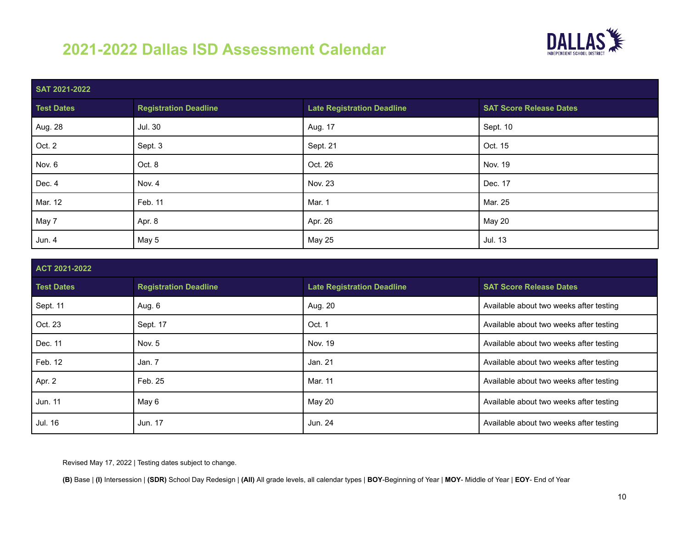

| SAT 2021-2022     |                              |                                   |                                |  |
|-------------------|------------------------------|-----------------------------------|--------------------------------|--|
| <b>Test Dates</b> | <b>Registration Deadline</b> | <b>Late Registration Deadline</b> | <b>SAT Score Release Dates</b> |  |
| Aug. 28           | Jul. 30                      | Aug. 17                           | Sept. 10                       |  |
| Oct. 2            | Sept. 3                      | Sept. 21                          | Oct. 15                        |  |
| Nov. 6            | Oct. 8                       | Oct. 26                           | Nov. 19                        |  |
| Dec. 4            | Nov. 4                       | Nov. 23                           | Dec. 17                        |  |
| Mar. 12           | Feb. 11                      | Mar. 1                            | Mar. 25                        |  |
| May 7             | Apr. 8                       | Apr. 26                           | <b>May 20</b>                  |  |
| Jun. 4            | May 5                        | <b>May 25</b>                     | Jul. 13                        |  |

| ACT 2021-2022     |                              |                                   |                                         |
|-------------------|------------------------------|-----------------------------------|-----------------------------------------|
| <b>Test Dates</b> | <b>Registration Deadline</b> | <b>Late Registration Deadline</b> | <b>SAT Score Release Dates</b>          |
| Sept. 11          | Aug. 6                       | Aug. 20                           | Available about two weeks after testing |
| Oct. 23           | Sept. 17                     | Oct. 1                            | Available about two weeks after testing |
| Dec. 11           | Nov. 5                       | Nov. 19                           | Available about two weeks after testing |
| Feb. 12           | Jan. 7                       | Jan. 21                           | Available about two weeks after testing |
| Apr. 2            | Feb. 25                      | Mar. 11                           | Available about two weeks after testing |
| Jun. 11           | May 6                        | May 20                            | Available about two weeks after testing |
| Jul. 16           | Jun. 17                      | Jun. 24                           | Available about two weeks after testing |

Revised May 17, 2022 | Testing dates subject to change.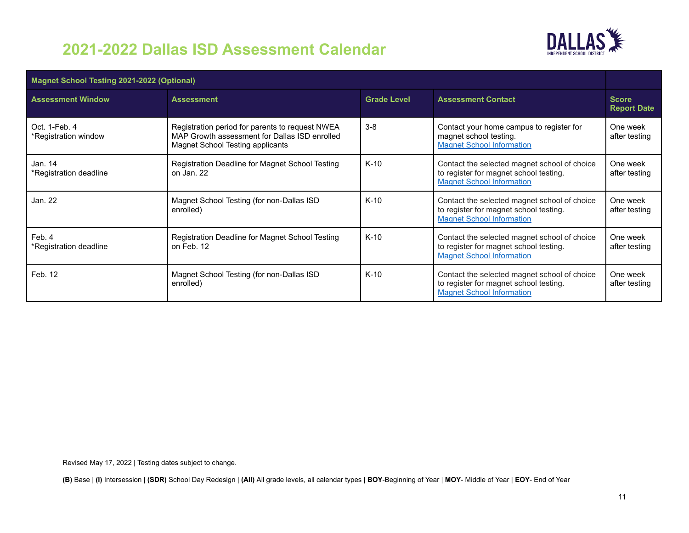

| Magnet School Testing 2021-2022 (Optional) |                                                                                                                                      |                    |                                                                                                                            |                                    |
|--------------------------------------------|--------------------------------------------------------------------------------------------------------------------------------------|--------------------|----------------------------------------------------------------------------------------------------------------------------|------------------------------------|
| <b>Assessment Window</b>                   | <b>Assessment</b>                                                                                                                    | <b>Grade Level</b> | <b>Assessment Contact</b>                                                                                                  | <b>Score</b><br><b>Report Date</b> |
| Oct. 1-Feb. 4<br>*Registration window      | Registration period for parents to request NWEA<br>MAP Growth assessment for Dallas ISD enrolled<br>Magnet School Testing applicants | $3 - 8$            | Contact your home campus to register for<br>magnet school testing.<br><b>Magnet School Information</b>                     | One week<br>after testing          |
| Jan. 14<br>*Registration deadline          | Registration Deadline for Magnet School Testing<br>on Jan. 22                                                                        | $K-10$             | Contact the selected magnet school of choice<br>to register for magnet school testing.<br><b>Magnet School Information</b> | One week<br>after testing          |
| Jan. 22                                    | Magnet School Testing (for non-Dallas ISD<br>enrolled)                                                                               | $K-10$             | Contact the selected magnet school of choice<br>to register for magnet school testing.<br><b>Magnet School Information</b> | One week<br>after testing          |
| Feb. 4<br>*Registration deadline           | Registration Deadline for Magnet School Testing<br>on Feb. 12                                                                        | $K-10$             | Contact the selected magnet school of choice<br>to register for magnet school testing.<br><b>Magnet School Information</b> | One week<br>after testing          |
| Feb. 12                                    | Magnet School Testing (for non-Dallas ISD<br>enrolled)                                                                               | $K-10$             | Contact the selected magnet school of choice<br>to register for magnet school testing.<br><b>Magnet School Information</b> | One week<br>after testing          |

Revised May 17, 2022 | Testing dates subject to change.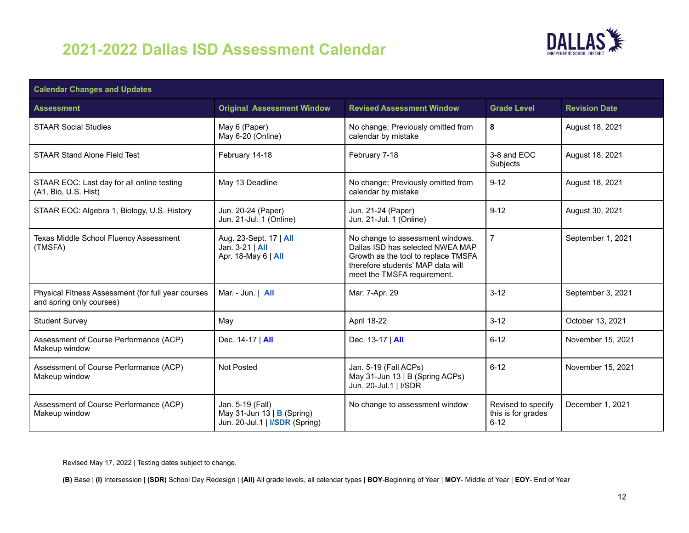

| <b>Calendar Changes and Updates</b>                                            |                                                                                                |                                                                                                                                                                                 |                                                      |                      |  |  |
|--------------------------------------------------------------------------------|------------------------------------------------------------------------------------------------|---------------------------------------------------------------------------------------------------------------------------------------------------------------------------------|------------------------------------------------------|----------------------|--|--|
| <b>Assessment</b>                                                              | <b>Original Assessment Window</b>                                                              | <b>Revised Assessment Window</b>                                                                                                                                                | <b>Grade Level</b>                                   | <b>Revision Date</b> |  |  |
| <b>STAAR Social Studies</b>                                                    | May 6 (Paper)<br>May 6-20 (Online)                                                             | No change; Previously omitted from<br>calendar by mistake                                                                                                                       | 8                                                    | August 18, 2021      |  |  |
| <b>STAAR Stand Alone Field Test</b>                                            | February 14-18                                                                                 | February 7-18                                                                                                                                                                   | 3-8 and EOC<br>Subjects                              | August 18, 2021      |  |  |
| STAAR EOC: Last day for all online testing<br>(A1, Bio, U.S. Hist)             | May 13 Deadline                                                                                | No change; Previously omitted from<br>calendar by mistake                                                                                                                       | $9 - 12$                                             | August 18, 2021      |  |  |
| STAAR EOC: Algebra 1, Biology, U.S. History                                    | Jun. 20-24 (Paper)<br>Jun. 21-Jul. 1 (Online)                                                  | Jun. 21-24 (Paper)<br>Jun. 21-Jul. 1 (Online)                                                                                                                                   | $9 - 12$                                             | August 30, 2021      |  |  |
| Texas Middle School Fluency Assessment<br>(TMSFA)                              | Aug. 23-Sept. 17   All<br>Jan. 3-21   All<br>Apr. 18-May 6   All                               | No change to assessment windows.<br>Dallas ISD has selected NWEA MAP<br>Growth as the tool to replace TMSFA<br>therefore students' MAP data will<br>meet the TMSFA requirement. |                                                      | September 1, 2021    |  |  |
| Physical Fitness Assessment (for full year courses<br>and spring only courses) | Mar. - Jun.   All                                                                              | Mar. 7-Apr. 29                                                                                                                                                                  | $3 - 12$                                             | September 3, 2021    |  |  |
| <b>Student Survey</b>                                                          | May                                                                                            | April 18-22                                                                                                                                                                     | $3 - 12$                                             | October 13, 2021     |  |  |
| Assessment of Course Performance (ACP)<br>Makeup window                        | Dec. 14-17   All                                                                               | Dec. 13-17   All                                                                                                                                                                | $6 - 12$                                             | November 15, 2021    |  |  |
| Assessment of Course Performance (ACP)<br>Makeup window                        | Not Posted                                                                                     | Jan. 5-19 (Fall ACPs)<br>May 31-Jun 13   B (Spring ACPs)<br>Jun. 20-Jul.1   I/SDR                                                                                               | $6 - 12$                                             | November 15, 2021    |  |  |
| Assessment of Course Performance (ACP)<br>Makeup window                        | Jan. 5-19 (Fall)<br>May 31-Jun 13   $\bf{B}$ (Spring)<br>Jun. 20-Jul.1   <b>I/SDR</b> (Spring) | No change to assessment window                                                                                                                                                  | Revised to specify<br>this is for grades<br>$6 - 12$ | December 1, 2021     |  |  |

Revised May 17, 2022 | Testing dates subject to change.